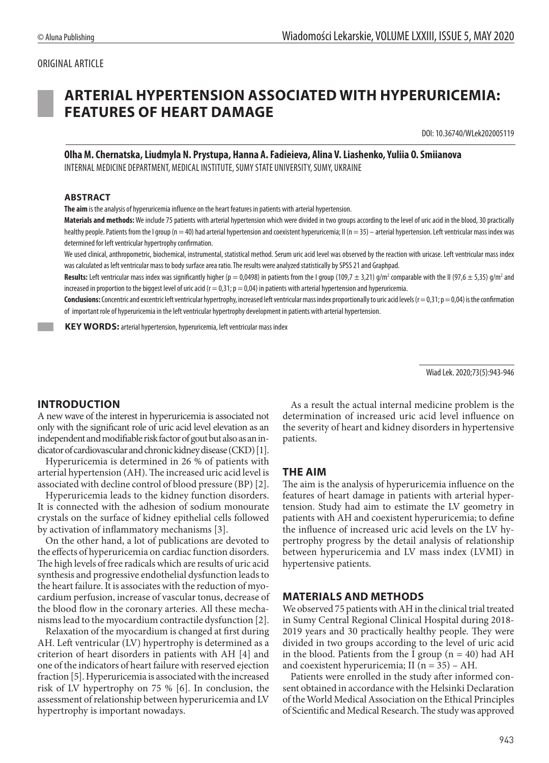## ORIGINAL ARTICLE

# **ARTERIAL HYPERTENSION ASSOCIATED WITH HYPERURICEMIA: FEATURES OF HEART DAMAGE**

DOI: 10.36740/WLek202005119

# **Olha M. Chernatska, Liudmyla N. Prystupa, Hanna A. Fadieieva, Alina V. Liashenko, Yuliia O. Smiianova**

INTERNAL MEDICINE DEPARTMENT, MEDICAL INSTITUTE, SUMY STATE UNIVERSITY, SUMY, UKRAINE

#### **ABSTRACT**

**The aim** is the analysis of hyperuricemia influence on the heart features in patients with arterial hypertension.

**Materials and methods:** We include 75 patients with arterial hypertension which were divided in two groups according to the level of uric acid in the blood, 30 practically healthy people. Patients from the I group (n = 40) had arterial hypertension and coexistent hyperuricemia; II (n = 35) – arterial hypertension. Left ventricular mass index was determined for left ventricular hypertrophy confirmation.

We used clinical, anthropometric, biochemical, instrumental, statistical method. Serum uric acid level was observed by the reaction with uricase. Left ventricular mass index was calculated as left ventricular mass to body surface area ratio. The results were analyzed statistically by SPSS 21 and Graphpad.

Results: Left ventricular mass index was significantly higher (p = 0,0498) in patients from the I group (109,7 ± 3,21) g/m<sup>2</sup> comparable with the II (97,6 ± 5,35) g/m<sup>2</sup> and increased in proportion to the biggest level of uric acid ( $r = 0.31$ ;  $p = 0.04$ ) in patients with arterial hypertension and hyperuricemia.

**Conclusions:** Concentric and excentric left ventricular hypertrophy, increased left ventricular mass index proportionally to uric acid levels  $(r = 0.31; p = 0.04)$  is the confirmation of important role of hyperuricemia in the left ventricular hypertrophy development in patients with arterial hypertension.

**KEY WORDS:** arterial hypertension, hyperuricemia, left ventricular mass index

Wiad Lek. 2020;73(5):943-946

#### **INTRODUCTION**

A new wave of the interest in hyperuricemia is associated not only with the significant role of uric acid level elevation as an independent and modifiable risk factor of gout but also as an indicator of cardiovascular and chronic kidney disease (CKD)[1].

Hyperuricemia is determined in 26 % of patients with arterial hypertension (AH). The increased uric acid level is associated with decline control of blood pressure (BP) [2].

Hyperuricemia leads to the kidney function disorders. It is connected with the adhesion of sodium monourate crystals on the surface of kidney epithelial cells followed by activation of inflammatory mechanisms [3].

On the other hand, a lot of publications are devoted to the effects of hyperuricemia on cardiac function disorders. The high levels of free radicals which are results of uric acid synthesis and progressive endothelial dysfunction leads to the heart failure. It is associates with the reduction of myocardium perfusion, increase of vascular tonus, decrease of the blood flow in the coronary arteries. All these mechanisms lead to the myocardium contractile dysfunction [2].

Relaxation of the myocardium is changed at first during AH. Left ventricular (LV) hypertrophy is determined as a criterion of heart disorders in patients with AH [4] and one of the indicators of heart failure with reserved ejection fraction [5]. Hyperuricemia is associated with the increased risk of LV hypertrophy on 75 % [6]. In conclusion, the assessment of relationship between hyperuricemia and LV hypertrophy is important nowadays.

As a result the actual internal medicine problem is the determination of increased uric acid level influence on the severity of heart and kidney disorders in hypertensive patients.

#### **THE AIM**

The aim is the analysis of hyperuricemia influence on the features of heart damage in patients with arterial hypertension. Study had aim to estimate the LV geometry in patients with AH and coexistent hyperuricemia; to define the influence of increased uric acid levels on the LV hypertrophy progress by the detail analysis of relationship between hyperuricemia and LV mass index (LVMI) in hypertensive patients.

#### **MATERIALS AND METHODS**

We observed 75 patients with AH in the clinical trial treated in Sumy Central Regional Clinical Hospital during 2018- 2019 years and 30 practically healthy people. They were divided in two groups according to the level of uric acid in the blood. Patients from the I group ( $n = 40$ ) had AH and coexistent hyperuricemia; II ( $n = 35$ ) – AH.

Patients were enrolled in the study after informed consent obtained in accordance with the Helsinki Declaration of the World Medical Association on the Ethical Principles of Scientific and Medical Research. The study was approved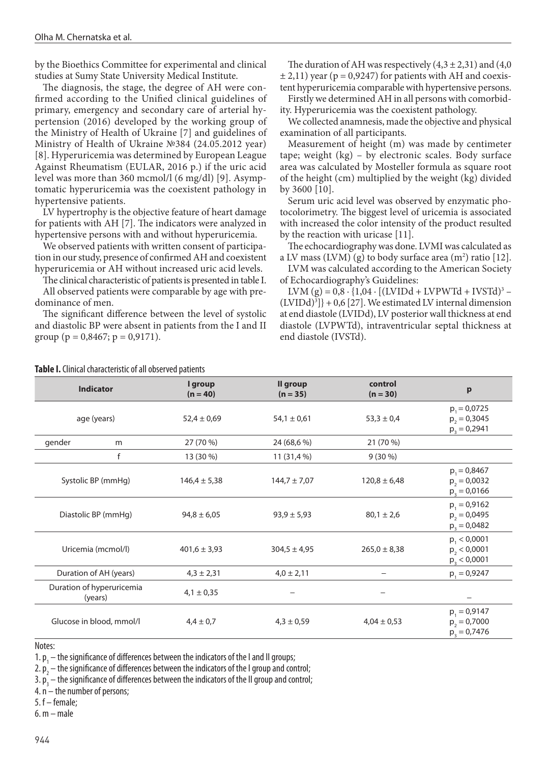by the Bioethics Committee for experimental and clinical studies at Sumy State University Medical Institute.

The diagnosis, the stage, the degree of AH were confirmed according to the Unified clinical guidelines of primary, emergency and secondary care of arterial hypertension (2016) developed by the working group of the Ministry of Health of Ukraine [7] and guidelines of Ministry of Health of Ukraine №384 (24.05.2012 year) [8]. Hyperuricemia was determined by European League Against Rheumatism (EULAR, 2016 р.) if the uric acid level was more than 360 mcmol/l (6 mg/dl) [9]. Asymptomatic hyperuricemia was the coexistent pathology in hypertensive patients.

LV hypertrophy is the objective feature of heart damage for patients with AH [7]. The indicators were analyzed in hypertensive persons with and without hyperuricemia.

We observed patients with written consent of participation in our study, presence of confirmed AH and coexistent hyperuricemia or AH without increased uric acid levels.

The clinical characteristic of patients is presented in table I. All observed patients were comparable by age with predominance of men.

The significant difference between the level of systolic and diastolic BP were absent in patients from the I and II group ( $p = 0.8467$ ;  $p = 0.9171$ ).

The duration of AH was respectively  $(4,3 \pm 2,31)$  and  $(4,0)$  $\pm$  2,11) year (p = 0,9247) for patients with AH and coexistent hyperuricemia comparable with hypertensive persons.

Firstly we determined AH in all persons with comorbidity. Hyperuricemia was the coexistent pathology.

We collected anamnesis, made the objective and physical examination of all participants.

Measurement of height (m) was made by centimeter tape; weight (kg) – by electronic scales. Body surface area was calculated by Mosteller formula as square root of the height (cm) multiplied by the weight (kg) divided by 3600 [10].

Serum uric acid level was observed by enzymatic photocolorimetry. The biggest level of uricemia is associated with increased the color intensity of the product resulted by the reaction with uricase [11].

The echocardiography was done. LVMI was calculated as a LV mass (LVM) (g) to body surface area  $(m^2)$  ratio [12].

LVM was calculated according to the American Society of Echocardiography's Guidelines:

LVM  $(g) = 0.8 \cdot \{1.04 \cdot [(LVIDd + LVPWTd + IVSTd)^3 (LVIDd)^{3}$  + 0,6 [27]. We estimated LV internal dimension at end diastole (LVIDd), LV posterior wall thickness at end diastole (LVPWTd), intraventricular septal thickness at end diastole (IVSTd).

|                                      |   |                       |                        | control           |                  |  |
|--------------------------------------|---|-----------------------|------------------------|-------------------|------------------|--|
| <b>Indicator</b>                     |   | I group<br>$(n = 40)$ | Il group<br>$(n = 35)$ | $(n = 30)$        | p                |  |
|                                      |   |                       |                        |                   |                  |  |
|                                      |   |                       |                        |                   | $p_1 = 0.0725$   |  |
| age (years)                          |   | $52,4 \pm 0,69$       | $54,1 \pm 0,61$        | $53,3 \pm 0,4$    | $p_2 = 0,3045$   |  |
|                                      |   |                       |                        |                   | $p_3 = 0.2941$   |  |
| gender                               | m | 27 (70 %)             | 24 (68,6 %)            | 21 (70 %)         |                  |  |
|                                      | f | 13 (30 %)             | 11 (31,4 %)            | $9(30\%)$         |                  |  |
|                                      |   |                       |                        |                   | $p_1 = 0.8467$   |  |
| Systolic BP (mmHg)                   |   | $146,4 \pm 5,38$      | $144,7 \pm 7,07$       | $120,8 \pm 6,48$  | $p_2 = 0.0032$   |  |
|                                      |   |                       |                        |                   | $p_3 = 0.0166$   |  |
|                                      |   |                       |                        |                   |                  |  |
| Diastolic BP (mmHg)                  |   | $94,8 \pm 6,05$       | $93,9 \pm 5,93$        | $80,1 \pm 2,6$    | $p_1 = 0.9162$   |  |
|                                      |   |                       |                        |                   | $p_2 = 0.0495$   |  |
|                                      |   |                       |                        |                   | $p_3 = 0.0482$   |  |
|                                      |   |                       |                        |                   | $p_1 < 0,0001$   |  |
| Uricemia (mcmol/l)                   |   | $401,6 \pm 3,93$      | $304,5 \pm 4,95$       | $265,0 \pm 8,38$  | $p_{2}$ < 0,0001 |  |
|                                      |   |                       |                        |                   | $p_3 < 0,0001$   |  |
| Duration of AH (years)               |   | $4,3 \pm 2,31$        | $4,0 \pm 2,11$         | $\qquad \qquad -$ | $p_1 = 0.9247$   |  |
| Duration of hyperuricemia<br>(years) |   | $4,1 \pm 0,35$        |                        |                   |                  |  |
|                                      |   |                       |                        |                   |                  |  |
|                                      |   |                       |                        |                   | $p_1 = 0.9147$   |  |
| Glucose in blood, mmol/l             |   | $4,4 \pm 0,7$         | $4,3 \pm 0,59$         | $4,04 \pm 0,53$   | $p_2 = 0.7000$   |  |
|                                      |   |                       |                        |                   | $p_3 = 0.7476$   |  |
|                                      |   |                       |                        |                   |                  |  |

**Table I.** Clinical characteristic of all observed patients

Notes:

1.  $p_1$  – the significance of differences between the indicators of the I and II groups;

2.  $p_{2}$  – the significance of differences between the indicators of the I group and control;

3.  $\mathsf{p}_{\mathsf{3}}^{}$  — the significance of differences between the indicators of the II group and control;

4. n – the number of persons;

5. f – female;

6. m – male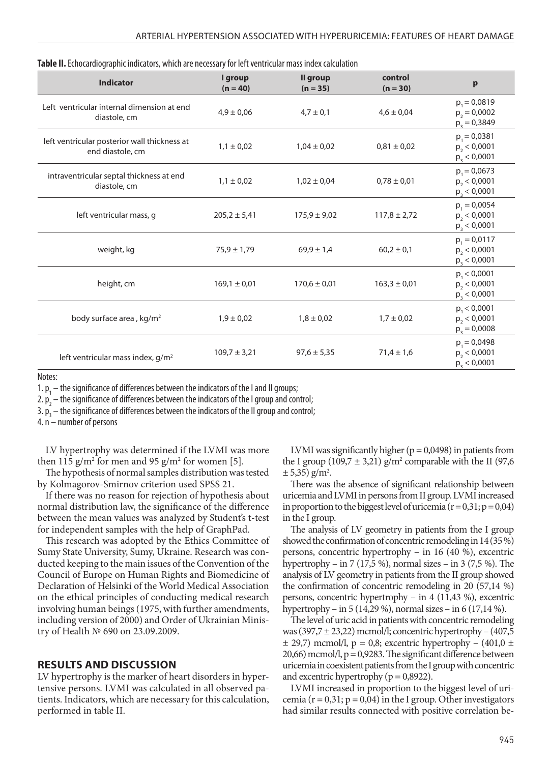| Table II. Echocardiographic indicators, which are necessary for left ventricular mass index calculation |  |
|---------------------------------------------------------------------------------------------------------|--|
|---------------------------------------------------------------------------------------------------------|--|

| <b>Indicator</b>                                                 | I group<br>$(n = 40)$ | Il group<br>$(n = 35)$ | control<br>$(n = 30)$ | p                                                  |
|------------------------------------------------------------------|-----------------------|------------------------|-----------------------|----------------------------------------------------|
| Left ventricular internal dimension at end<br>diastole, cm       | $4.9 \pm 0.06$        | $4.7 \pm 0.1$          | $4,6 \pm 0,04$        | $p_1 = 0.0819$<br>$p_2 = 0,0002$<br>$p_3 = 0.3849$ |
| left ventricular posterior wall thickness at<br>end diastole, cm | $1,1 \pm 0,02$        | $1,04 \pm 0,02$        | $0,81 \pm 0,02$       | $p_1 = 0.0381$<br>$p_2 < 0,0001$<br>$p_3 < 0,0001$ |
| intraventricular septal thickness at end<br>diastole, cm         | $1,1 \pm 0.02$        | $1,02 \pm 0,04$        | $0.78 \pm 0.01$       | $p_1 = 0.0673$<br>$p_2 < 0,0001$<br>$p_3 < 0,0001$ |
| left ventricular mass, g                                         | $205,2 \pm 5,41$      | $175.9 \pm 9.02$       | $117,8 \pm 2,72$      | $p_1 = 0.0054$<br>$p_2 < 0,0001$<br>$p_3 < 0,0001$ |
| weight, kg                                                       | $75.9 \pm 1.79$       | $69.9 \pm 1.4$         | $60,2 \pm 0,1$        | $p_1 = 0.0117$<br>$p_2 < 0,0001$<br>$p_3 < 0,0001$ |
| height, cm                                                       | $169,1 \pm 0,01$      | $170,6 \pm 0,01$       | $163,3 \pm 0,01$      | $p_1 < 0,0001$<br>$p_2 < 0,0001$<br>$p_3 < 0,0001$ |
| body surface area, kg/m <sup>2</sup>                             | $1,9 \pm 0,02$        | $1,8 \pm 0,02$         | $1,7 \pm 0,02$        | $p_1 < 0,0001$<br>$p_2 < 0,0001$<br>$p_3 = 0,0008$ |
| left ventricular mass index, g/m <sup>2</sup>                    | $109.7 \pm 3.21$      | $97.6 \pm 5.35$        | $71,4 \pm 1,6$        | $p_1 = 0.0498$<br>$p_2 < 0,0001$<br>$p_3 < 0,0001$ |

Notes:

1.  $p_1$  – the significance of differences between the indicators of the I and II groups;

2.  $p_2$  – the significance of differences between the indicators of the I group and control;

3.  $p_{3}$  — the significance of differences between the indicators of the II group and control;

4. n – number of persons

LV hypertrophy was determined if the LVMI was more then 115  $\frac{g}{m^2}$  for men and 95  $\frac{g}{m^2}$  for women [5].

The hypothesis of normal samples distribution was tested by Kolmagorov-Smirnov criterion used SPSS 21.

If there was no reason for rejection of hypothesis about normal distribution law, the significance of the difference between the mean values was analyzed by Student's t-test for independent samples with the help of GraphPad.

This research was adopted by the Ethics Committee of Sumy State University, Sumy, Ukraine. Research was conducted keeping to the main issues of the Convention of the Council of Europe on Human Rights and Biomedicine of Declaration of Helsinki of the World Medical Association on the ethical principles of conducting medical research involving human beings (1975, with further amendments, including version of 2000) and Order of Ukrainian Ministry of Health № 690 on 23.09.2009.

#### **RESULTS AND DISCUSSION**

LV hypertrophy is the marker of heart disorders in hypertensive persons. LVMI was calculated in all observed patients. Indicators, which are necessary for this calculation, performed in table II.

LVMI was significantly higher ( $p = 0.0498$ ) in patients from the I group (109,7  $\pm$  3,21) g/m<sup>2</sup> comparable with the II (97,6  $\pm$  5,35) g/m<sup>2</sup>.

There was the absence of significant relationship between uricemia and LVMI in persons from ІІ group. LVMI increased in proportion to the biggest level of uricemia ( $r = 0.31$ ;  $p = 0.04$ ) in the І group.

The analysis of LV geometry in patients from the І group showed the confirmation of concentric remodeling in 14 (35 %) persons, concentric hypertrophy – in 16 (40 %), excentric hypertrophy – in 7 (17,5 %), normal sizes – in 3 (7,5 %). The analysis of LV geometry in patients from the ІI group showed the confirmation of concentric remodeling in 20 (57,14 %) persons, concentric hypertrophy – in 4 (11,43 %), excentric hypertrophy – in 5 (14,29 %), normal sizes – in 6 (17,14 %).

The level of uric acid in patients with concentric remodeling was  $(397.7 \pm 23.22)$  mcmol/l; concentric hypertrophy –  $(407.5)$  $\pm$  29,7) mcmol/l, p = 0,8; excentric hypertrophy – (401,0  $\pm$  $20,66$ ) mcmol/l,  $p = 0,9283$ . The significant difference between uricemia in coexistent patients from the I group with concentric and excentric hypertrophy ( $p = 0.8922$ ).

LVMI increased in proportion to the biggest level of uricemia ( $r = 0.31$ ;  $p = 0.04$ ) in the I group. Other investigators had similar results connected with positive correlation be